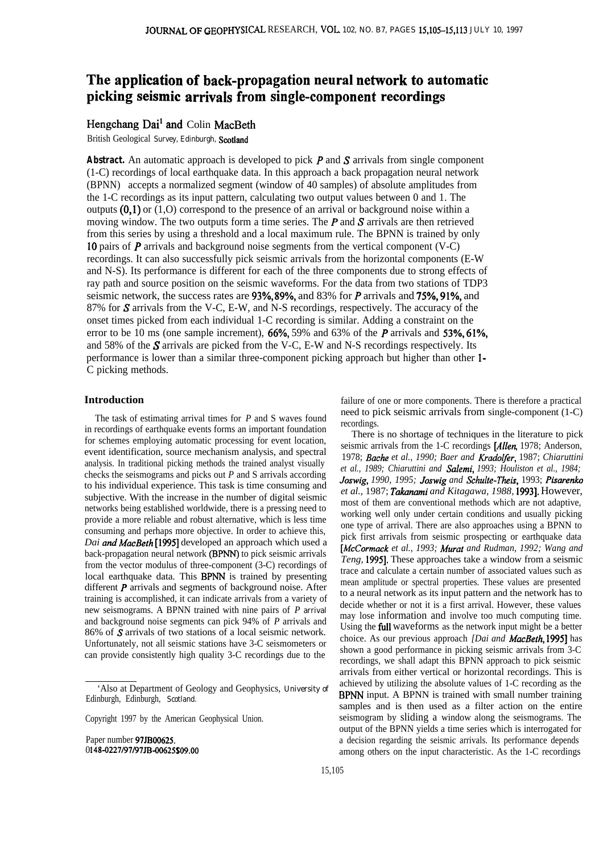# **The application of back-propagation neural network to automatic picking seismic arrivals from single-component recordings**

## Hengchang Dai<sup>1</sup> and Colin MacBeth

British Geological Survey, Edinburgh, Scotland

Abstract. An automatic approach is developed to pick P and S arrivals from single component (1-C) recordings of local earthquake data. In this approach a back propagation neural network (BPNN) accepts a normalized segment (window of 40 samples) of absolute amplitudes from the 1-C recordings as its input pattern, calculating two output values between 0 and 1. The outputs  $(0,1)$  or  $(1,0)$  correspond to the presence of an arrival or background noise within a moving window. The two outputs form a time series. The  $P$  and  $S$  arrivals are then retrieved from this series by using a threshold and a local maximum rule. The BPNN is trained by only 10 pairs of P arrivals and background noise segments from the vertical component (V-C) recordings. It can also successfully pick seismic arrivals from the horizontal components (E-W and N-S). Its performance is different for each of the three components due to strong effects of ray path and source position on the seismic waveforms. For the data from two stations of TDP3 seismic network, the success rates are 93%, 89%, and 83% for P arrivals and 75%, 91%, and 87% for S arrivals from the V-C, E-W, and N-S recordings, respectively. The accuracy of the onset times picked from each individual 1-C recording is similar. Adding a constraint on the error to be 10 ms (one sample increment),  $66\%, 59\%$  and  $63\%$  of the P arrivals and  $53\%, 61\%,$ and 58% of the S arrivals are picked from the V-C, E-W and N-S recordings respectively. Its performance is lower than a similar three-component picking approach but higher than other l-C picking methods.

## **Introduction**

The task of estimating arrival times for *P* and S waves found in recordings of earthquake events forms an important foundation for schemes employing automatic processing for event location, event identification, source mechanism analysis, and spectral analysis. In traditional picking methods the trained analyst visually checks the seismograms and picks out *P* and S arrivals according to his individual experience. This task is time consuming and subjective. With the increase in the number of digital seismic networks being established worldwide, there is a pressing need to provide a more reliable and robust alternative, which is less time consuming and perhaps more objective. In order to achieve this, *Dai and MacBeth* [1995] developed an approach which used a back-propagation neural network (BPNN) to pick seismic arrivals from the vector modulus of three-component (3-C) recordings of local earthquake data. This BPNN is trained by presenting different P arrivals and segments of background noise. After training is accomplished, it can indicate arrivals from a variety of new seismograms. A BPNN trained with nine pairs of *P* arrival and background noise segments can pick 94% of *P* arrivals and 86% of S arrivals of two stations of a local seismic network. Unfortunately, not all seismic stations have 3-C seismometers or can provide consistently high quality 3-C recordings due to the

Paper number 97JB00625. 0148-0227/97/97JB-00625\$09.00 failure of one or more components. There is therefore a practical need to pick seismic arrivals from single-component (1-C) recordings.

There is no shortage of techniques in the literature to pick seismic arrivals from the 1-C recordings [Allen, 1978; Anderson, 1978; *Bathe et al., 1990; Baer and fiadolfer,* 1987; *Chiaruttini et al., 1989; Chiaruttini and Salemi, 1993; Houliston et al., 1984; Joswig, 1990, 1995; Joswig and Schulte-Theis,* 1993; *Pisarenko et al.,* 1987; *Takxmami and Kitagawa, 1988,* 19931. However, most of them are conventional methods which are not adaptive, working well only under certain conditions and usually picking one type of arrival. There are also approaches using a BPNN to pick first arrivals from seismic prospecting or earthquake data *[McCormack et al., 1993; Murat and Rudman, 1992; Wang and Teng,* 19951. These approaches take a window from a seismic trace and calculate a certain number of associated values such as mean amplitude or spectral properties. These values are presented to a neural network as its input pattern and the network has to decide whether or not it is a first arrival. However, these values may lose information and involve too much computing time. Using the **full** waveforms as the network input might be a better choice. As our previous approach *[Dai and MacBeth,* 19951 has shown a good performance in picking seismic arrivals from 3-C recordings, we shall adapt this BPNN approach to pick seismic arrivals from either vertical or horizontal recordings. This is achieved by utilizing the absolute values of 1-C recording as the BPNN input. A BPNN is trained with small number training samples and is then used as a filter action on the entire seismogram by sliding a window along the seismograms. The output of the BPNN yields a time series which is interrogated for a decision regarding the seismic arrivals. Its performance depends among others on the input characteristic. As the 1-C recordings

<sup>&#</sup>x27;Also at Department of Geology and Geophysics, University of Edinburgh, Edinburgh, Scotland.

Copyright 1997 by the American Geophysical Union.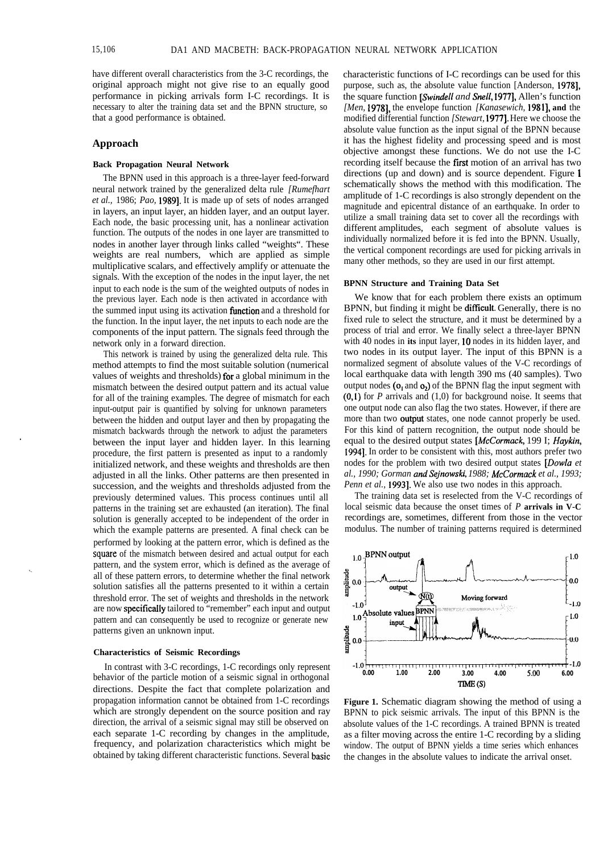have different overall characteristics from the 3-C recordings, the original approach might not give rise to an equally good performance in picking arrivals form I-C recordings. It is necessary to alter the training data set and the BPNN structure, so that a good performance is obtained.

#### **Approach**

## **Back Propagation Neural Network**

The BPNN used in this approach is a three-layer feed-forward neural network trained by the generalized delta rule *[Rumefhart et al.,* 1986; *Pao,* 19891. It is made up of sets of nodes arranged in layers, an input layer, an hidden layer, and an output layer. Each node, the basic processing unit, has a nonlinear activation function. The outputs of the nodes in one layer are transmitted to nodes in another layer through links called "weights". These weights are real numbers, which are applied as simple multiplicative scalars, and effectively amplify or attenuate the signals. With the exception of the nodes in the input layer, the net input to each node is the sum of the weighted outputs of nodes in the previous layer. Each node is then activated in accordance with the summed input using its activation **function** and a threshold for the function. In the input layer, the net inputs to each node are the components of the input pattern. The signals feed through the network only in a forward direction.

This network is trained by using the generalized delta rule. This method attempts to find the most suitable solution (numerical values of weights and thresholds) for a global minimum in the mismatch between the desired output pattern and its actual value for all of the training examples. The degree of mismatch for each input-output pair is quantified by solving for unknown parameters between the hidden and output layer and then by propagating the mismatch backwards through the network to adjust the parameters between the input layer and hidden layer. In this learning procedure, the first pattern is presented as input to a randomly initialized network, and these weights and thresholds are then adjusted in all the links. Other patterns are then presented in succession, and the weights and thresholds adjusted from the previously determined values. This process continues until all patterns in the training set are exhausted (an iteration). The final solution is generally accepted to be independent of the order in which the example patterns are presented. A final check can be performed by looking at the pattern error, which is defined as the square of the mismatch between desired and actual output for each pattern, and the system error, which is defined as the average of all of these pattern errors, to determine whether the final network solution satisfies all the patterns presented to it within a certain threshold error. The set of weights and thresholds in the network are now specificaIly tailored to "remember" each input and output pattern and can consequently be used to recognize or generate new patterns given an unknown input.

#### **Characteristics of Seismic Recordings**

In contrast with 3-C recordings, 1-C recordings only represent behavior of the particle motion of a seismic signal in orthogonal directions. Despite the fact that complete polarization and propagation information cannot be obtained from 1-C recordings which are strongly dependent on the source position and ray direction, the arrival of a seismic signal may still be observed on each separate 1-C recording by changes in the amplitude, frequency, and polarization characteristics which might be obtained by taking different characteristic functions. Several basic characteristic functions of I-C recordings can be used for this purpose, such as, the absolute value function [Anderson, 19781, the square function *[Swindell and Snell*, 1977], Allen's function *[Men,* 1978], the envelope function *[Kanasewich,* 1981], and the modified differential function *[Stewart,* **19771.** Here we choose the absolute value function as the input signal of the BPNN because it has the highest fidelity and processing speed and is most objective amongst these functions. We do not use the I-C recording itself because the first motion of an arrival has two directions (up and down) and is source dependent. Figure <sup>1</sup> schematically shows the method with this modification. The amplitude of 1-C recordings is also strongly dependent on the magnitude and epicentral distance of an earthquake. In order to utilize a small training data set to cover all the recordings with different amplitudes, each segment of absolute values is individually normalized before it is fed into the BPNN. Usually, the vertical component recordings are used for picking arrivals in many other methods, so they are used in our first attempt.

#### **BPNN Structure and Training Data Set**

We know that for each problem there exists an optimum BPNN, but finding it might be difficult. Generally, there is no fixed rule to select the structure, and it must be determined by a process of trial and error. We finally select a three-layer BPNN with 40 nodes in **its** input layer, 10 nodes in its hidden layer, and two nodes in its output layer. The input of this BPNN is a normalized segment of absolute values of the V-C recordings of local earthquake data with length 390 ms (40 samples). Two output nodes ( $o_1$  and  $o_2$ ) of the BPNN flag the input segment with (0,i) for *P* arrivals and (1,0) for background noise. It seems that one output node can also flag the two states. However, if there are more than two output states, one node cannot properly be used. For this kind of pattern recognition, the output node should be equal to the desired output states *[McCormack,* 199 I; *Haykin,* 19941. In order to be consistent with this, most authors prefer two nodes for the problem with two desired output states *[Dowfa et al., 1990; Gorman andSejnowski, 1988; h4cCormack et al., 1993; Penn et al., 19931.* We also use two nodes in this approach.

The training data set is reselected from the V-C recordings of local seismic data because the onset times of *P* **arrivals in V-C** recordings are, sometimes, different from those in the vector modulus. The number of training patterns required is determined



**Figure 1.** Schematic diagram showing the method of using a BPNN to pick seismic arrivals. The input of this BPNN is the absolute values of the 1-C recordings. A trained BPNN is treated as a filter moving across the entire 1-C recording by a sliding window. The output of BPNN yields a time series which enhances the changes in the absolute values to indicate the arrival onset.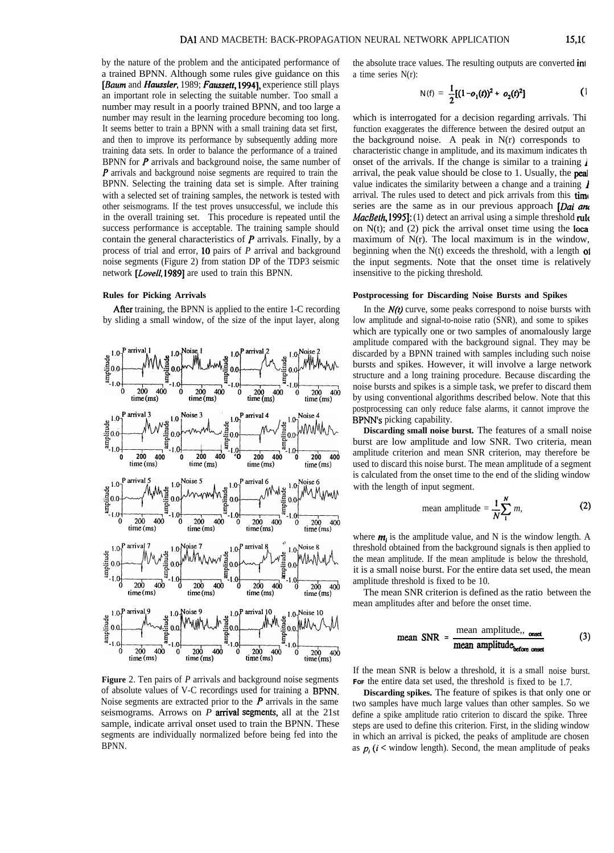by the nature of the problem and the anticipated performance of a trained BPNN. Although some rules give guidance on this *[Baum* and *Huussfer,* 1989; Fuussett, 19941, experience still plays an important role in selecting the suitable number. Too small a number may result in a poorly trained BPNN, and too large a number may result in the learning procedure becoming too long. It seems better to train a BPNN with a small training data set first, and then to improve its performance by subsequently adding more training data sets. In order to balance the performance of a trained BPNN for  $P$  arrivals and background noise, the same number of P arrivals and background noise segments are required to train the BPNN. Selecting the training data set is simple. After training with a selected set of training samples, the network is tested with other seismograms. If the test proves unsuccessful, we include this in the overall training set. This procedure is repeated until the success performance is acceptable. The training sample should contain the general characteristics of  $P$  arrivals. Finally, by a process of trial and error, 10 pairs of *P* arrival and background noise segments (Figure 2) from station DP of the TDP3 seismic network [Lovell, 1989] are used to train this BPNN.

## **Rules for Picking Arrivals**

Afier training, the BPNN is applied to the entire 1-C recording by sliding a small window, of the size of the input layer, along



**Figure** 2. Ten pairs of *P* arrivals and background noise segments of absolute values of V-C recordings used for training a BPNN. Noise segments are extracted prior to the  $P$  arrivals in the same seismograms. Arrows on *P arrival segments,* all at the 21st sample, indicate arrival onset used to train the BPNN. These segments are individually normalized before being fed into the BPNN.

the absolute trace values. The resulting outputs are converted in1 a time series N(r):

$$
N(f) = \frac{1}{2}[(1 - o_1(t))^2 + o_2(t)^2]
$$
 (1)

which is interrogated for a decision regarding arrivals. Thi function exaggerates the difference between the desired output an the background noise. A peak in N(r) corresponds to characteristic change in amplitude, and its maximum indicates th onset of the arrivals. If the change is similar to a training  $\lambda$ arrival, the peak value should be close to 1. Usually, the peal value indicates the similarity between a change and a training  $\boldsymbol{\ell}$ arrival. The rules used to detect and pick arrivals from this **time** series are the same as in our previous approach  $[Data]$  and *MacBeth*, 1995]: (1) detect an arrival using a simple threshold rule on  $N(t)$ ; and (2) pick the arrival onset time using the local maximum of N(r). The local maximum is in the window, beginning when the  $N(t)$  exceeds the threshold, with a length of the input segments. Note that the onset time is relatively insensitive to the picking threshold.

#### **Postprocessing for Discarding Noise Bursts and Spikes**

In the  $N(t)$  curve, some peaks correspond to noise bursts with low amplitude and signal-to-noise ratio (SNR), and some to spikes which are typically one or two samples of anomalously large amplitude compared with the background signal. They may be discarded by a BPNN trained with samples including such noise bursts and spikes. However, it will involve a large network structure and a long training procedure. Because discarding the noise bursts and spikes is a simple task, we prefer to discard them by using conventional algorithms described below. Note that this postprocessing can only reduce false alarms, it cannot improve the BPNN's picking capability.

**Discarding small noise burst.** The features of a small noise burst are low amplitude and low SNR. Two criteria, mean amplitude criterion and mean SNR criterion, may therefore be used to discard this noise burst. The mean amplitude of a segment is calculated from the onset time to the end of the sliding window with the length of input segment.

mean amplitude = 
$$
\frac{1}{N} \sum_{1}^{N} m
$$
, (2)

where  $m_i$  is the amplitude value, and N is the window length. A threshold obtained from the background signals is then applied to the mean amplitude. If the mean amplitude is below the threshold, it is a small noise burst. For the entire data set used, the mean amplitude threshold is fixed to be 10.

The mean SNR criterion is defined as the ratio between the

mean amplitudes after and before the onset time.  
\nmean SNR = 
$$
\frac{\text{mean amplitude}_{\text{before onset}}}{\text{mean amplitude}_{\text{before onset}}}
$$
 (3)

If the mean SNR is below a threshold, it is a small noise burst. For the entire data set used, the threshold is fixed to be 1.7.

**Discarding spikes.** The feature of spikes is that only one or two samples have much large values than other samples. So we define a spike amplitude ratio criterion to discard the spike. Three steps are used to define this criterion. First, in the sliding window in which an arrival is picked, the peaks of amplitude are chosen as  $p_i$  ( $i$  < window length). Second, the mean amplitude of peaks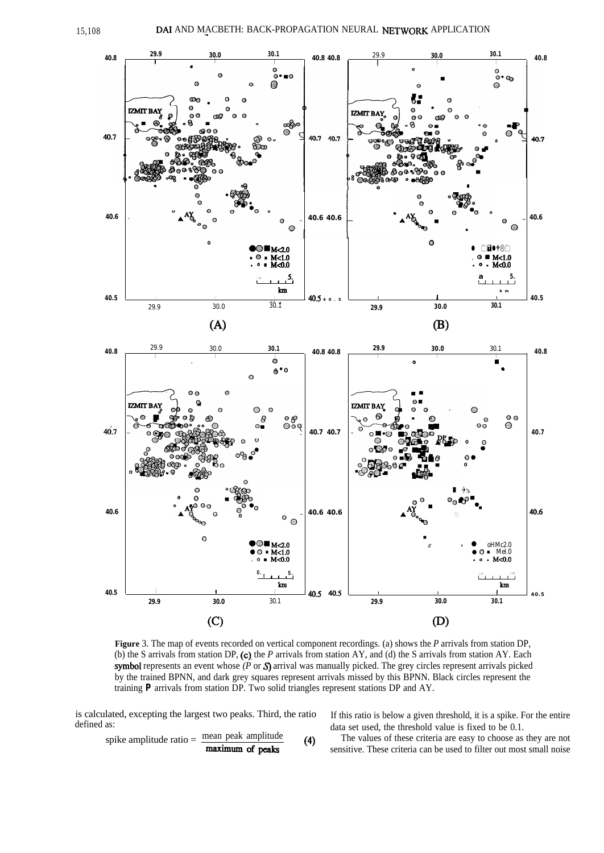

**Figure** 3. The map of events recorded on vertical component recordings. (a) shows the *P* arrivals from station DP, (b) the S arrivals from station DP, (c). the *P* arrivals from station AY, and (d) the S arrivals from station AY. Each .symbol represents an event whose *(P* or S) arrival was manually picked. The grey circles represent arrivals picked by the trained BPNN, and dark grey squares represent arrivals missed by this BPNN. Black circles represent the training *P* arrivals from station DP. Two solid triangles represent stations DP and AY.

is calculated, excepting the largest two peaks. Third, the ratio defined as:

spike amplitude ratio  $=$  mean peak amplitude

If this ratio is below a given threshold, it is a spike. For the entire data set used, the threshold value is fixed to be 0.1.

**Example 1** The values of these criteria are easy to choose as they are not **maximum of peaks** (4) The values of these criteria can be used to filter out most small noise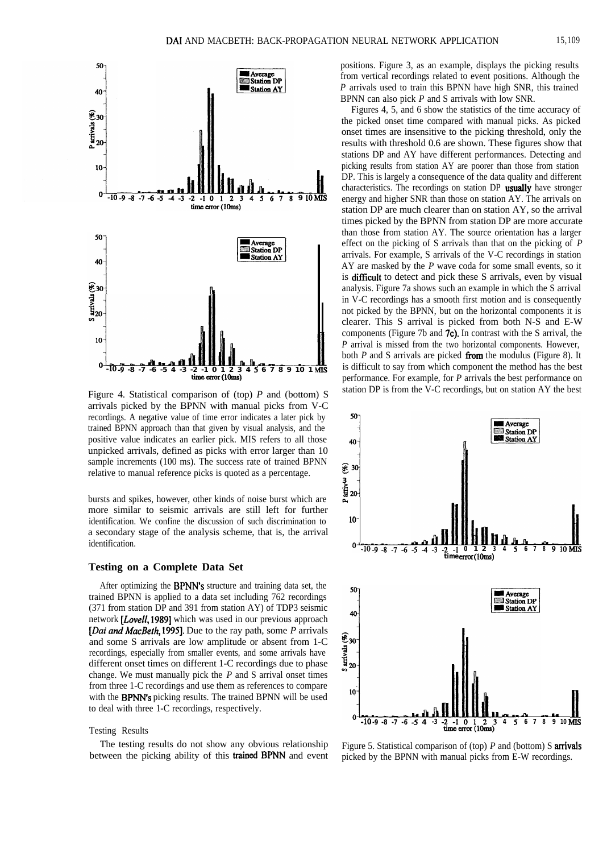

Figure 4. Statistical comparison of (top) *P* and (bottom) S arrivals picked by the BPNN with manual picks from V-C recordings. A negative value of time error indicates a later pick by trained BPNN approach than that given by visual analysis, and the positive value indicates an earlier pick. MIS refers to all those unpicked arrivals, defined as picks with error larger than 10 sample increments (100 ms). The success rate of trained BPNN relative to manual reference picks is quoted as a percentage.

bursts and spikes, however, other kinds of noise burst which are more similar to seismic arrivals are still left for further identification. We confine the discussion of such discrimination to a secondary stage of the analysis scheme, that is, the arrival identification.

#### **Testing on a Complete Data Set**

After optimizing the BPNN's structure and training data set, the trained BPNN is applied to a data set including 762 recordings (371 from station DP and 391 from station AY) of TDP3 seismic network *[Loveff,* 19891 which was used in our previous approach [*Dai and MacBeth*, 1995]. Due to the ray path, some *P* arrivals and some S arrivals are low amplitude or absent from 1-C recordings, especially from smaller events, and some arrivals have different onset times on different 1-C recordings due to phase change. We must manually pick the *P* and S arrival onset times from three 1-C recordings and use them as references to compare with the BPNN's picking results. The trained BPNN will be used to deal with three 1-C recordings, respectively.

#### Testing Results

The testing results do not show any obvious relationship between the picking ability of this trained BPNN and event positions. Figure 3, as an example, displays the picking results from vertical recordings related to event positions. Although the *P* arrivals used to train this BPNN have high SNR, this trained BPNN can also pick *P* and S arrivals with low SNR.

Figures 4, 5, and 6 show the statistics of the time accuracy of the picked onset time compared with manual picks. As picked onset times are insensitive to the picking threshold, only the results with threshold 0.6 are shown. These figures show that stations DP and AY have different performances. Detecting and picking results from station AY are poorer than those from station DP. This is largely a consequence of the data quality and different characteristics. The recordings on station DP usually have stronger energy and higher SNR than those on station AY. The arrivals on station DP are much clearer than on station AY, so the arrival times picked by the BPNN from station DP are more accurate than those from station AY. The source orientation has a larger effect on the picking of S arrivals than that on the picking of *P* arrivals. For example, S arrivals of the V-C recordings in station AY are masked by the *P* wave coda for some small events, so it is difficult to detect and pick these S arrivals, even by visual analysis. Figure 7a shows such an example in which the S arrival in V-C recordings has a smooth first motion and is consequently not picked by the BPNN, but on the horizontal components it is clearer. This S arrival is picked from both N-S and E-W components (Figure 7b and 7c). In contrast with the S arrival, the *P* arrival is missed from the two horizontal components. However, both *P* and S arrivals are picked from the modulus (Figure 8). It is difficult to say from which component the method has the best performance. For example, for *P* arrivals the best performance on station DP is from the V-C recordings, but on station AY the best



Figure 5. Statistical comparison of (top) *P* and (bottom) S arrivals picked by the BPNN with manual picks from E-W recordings.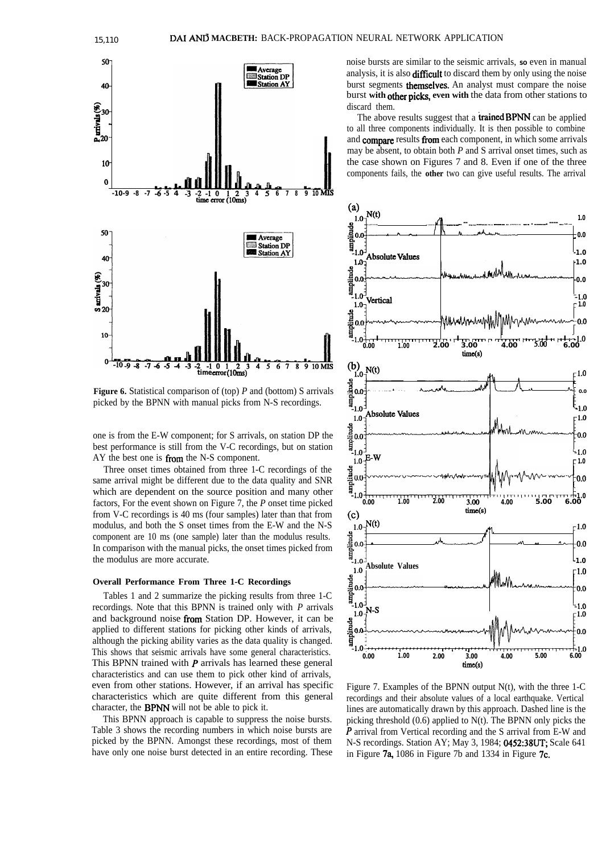

**Figure 6.** Statistical comparison of (top) *P* and (bottom) S arrivals picked by the BPNN with manual picks from N-S recordings.

one is from the E-W component; for S arrivals, on station DP the best performance is still from the V-C recordings, but on station AY the best one is from the N-S component.

Three onset times obtained from three 1-C recordings of the same arrival might be different due to the data quality and SNR which are dependent on the source position and many other factors, For the event shown on Figure 7, the *P* onset time picked from V-C recordings is 40 ms (four samples) later than that from modulus, and both the S onset times from the E-W and the N-S component are 10 ms (one sample) later than the modulus results. In comparison with the manual picks, the onset times picked from the modulus are more accurate.

#### **Overall Performance From Three 1-C Recordings**

Tables 1 and 2 summarize the picking results from three 1-C recordings. Note that this BPNN is trained only with *P* arrivals and background noise from Station DP. However, it can be applied to different stations for picking other kinds of arrivals, although the picking ability varies as the data quality is changed. This shows that seismic arrivals have some general characteristics. This BPNN trained with  *arrivals has learned these general* characteristics and can use them to pick other kind of arrivals, even from other stations. However, if an arrival has specific characteristics which are quite different from this general character, the BPNN will not be able to pick it.

This BPNN approach is capable to suppress the noise bursts. Table 3 shows the recording numbers in which noise bursts are picked by the BPNN. Amongst these recordings, most of them have only one noise burst detected in an entire recording. These noise bursts are similar to the seismic arrivals, so even in manual analysis, it is also difficult to discard them by only using the noise burst segments **themselves**. An analyst must compare the noise burst **with** other pick, **even with** the data from other stations to discard them.

The above results suggest that a trained BPNN can be applied to all three components individually. It is then possible to combine and compare results from each component, in which some arrivals may be absent, to obtain both *P* and S arrival onset times, such as the case shown on Figures 7 and 8. Even if one of the three components fails, the **other** two can give useful results. The arrival



Figure 7. Examples of the BPNN output N(t), with the three 1-C recordings and their absolute values of a local earthquake. Vertical lines are automatically drawn by this approach. Dashed line is the picking threshold (0.6) applied to N(t). The BPNN only picks the P arrival from Vertical recording and the S arrival from E-W and N-S recordings. Station AY; May 3, 1984; 0452:38UT; Scale 641 in Figure 7a, 1086 in Figure 7b and 1334 in Figure 7c.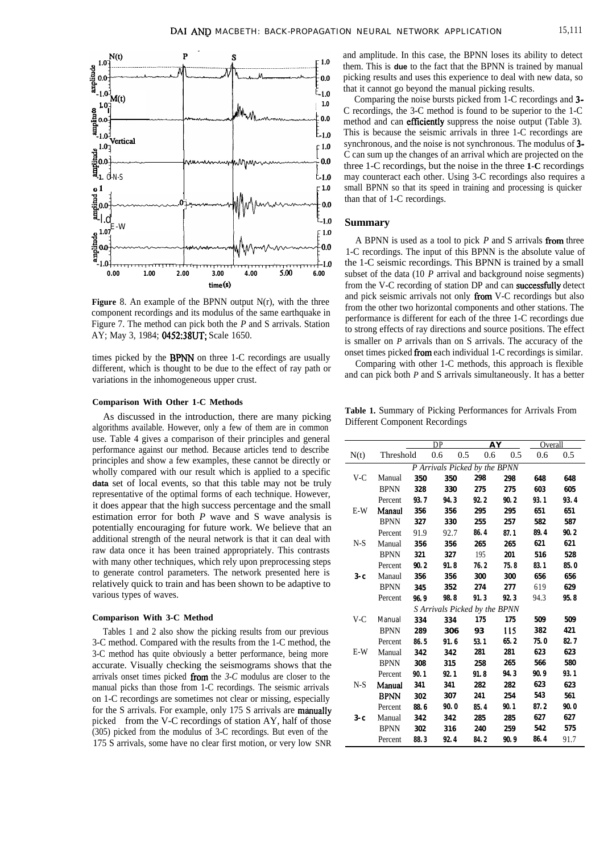

**Figure** 8. An example of the BPNN output N(r), with the three component recordings and its modulus of the same earthquake in Figure 7. The method can pick both the *P* and S arrivals. Station AY; May 3, 1984; 0452:38UT; Scale 1650.

times picked by the BPNN on three 1-C recordings are usually different, which is thought to be due to the effect of ray path or variations in the inhomogeneous upper crust.

## **Comparison With Other 1-C Methods**

As discussed in the introduction, there are many picking algorithms available. However, only a few of them are in common use. Table 4 gives a comparison of their principles and general performance against our method. Because articles tend to describe principles and show a few examples, these cannot be directly or wholly compared with our result which is applied to a specific **data** set of local events, so that this table may not be truly representative of the optimal forms of each technique. However, it does appear that the high success percentage and the small estimation error for both *P* wave and S wave analysis is potentially encouraging for future work. We believe that an additional strength of the neural network is that it can deal with raw data once it has been trained appropriately. This contrasts with many other techniques, which rely upon preprocessing steps to generate control parameters. The network presented here is relatively quick to train and has been shown to be adaptive to various types of waves.

#### **Comparison With 3-C Method**

Tables 1 and 2 also show the picking results from our previous 3-C method. Compared with the results from the 1-C method, the 3-C method has quite obviously a better performance, being more accurate. Visually checking the seismograms shows that the arrivals onset times picked from the *3-C* modulus are closer to the manual picks than those from 1-C recordings. The seismic arrivals on 1-C recordings are sometimes not clear or missing, especially for the S arrivals. For example, only  $175$  S arrivals are manually picked from the V-C recordings of station AY, half of those (305) picked from the modulus of 3-C recordings. But even of the 175 S arrivals, some have no clear first motion, or very low SNR

and amplitude. In this case, the BPNN loses its ability to detect them. This is **due** to the fact that the BPNN is trained by manual picking results and uses this experience to deal with new data, so that it cannot go beyond the manual picking results.

Comparing the noise bursts picked from 1-C recordings and 3- C recordings, the 3-C method is found to be superior to the 1-C method and can **efficiently** suppress the noise output (Table 3). This is because the seismic arrivals in three 1-C recordings are synchronous, and the noise is not synchronous. The modulus of 3- C can sum up the changes of an arrival which are projected on the three 1-C recordings, but the noise in the three **1-C** recordings may counteract each other. Using 3-C recordings also requires a small BPNN so that its speed in training and processing is quicker than that of 1-C recordings.

## **Summary**

A BPNN is used as a tool to pick *P* and S arrivals from three 1-C recordings. The input of this BPNN is the absolute value of the 1-C seismic recordings. This BPNN is trained by a small subset of the data (10 *P* arrival and background noise segments) from the V-C recording of station DP and can successfully detect and pick seismic arrivals not only from V-C recordings but also from the other two horizontal components and other stations. The performance is different for each of the three 1-C recordings due to strong effects of ray directions and source positions. The effect is smaller on *P* arrivals than on S arrivals. The accuracy of the onset times picked from each individual 1-C recordings is similar.

Comparing with other 1-C methods, this approach is flexible and can pick both *P* and S arrivals simultaneously. It has a better

**Table 1.** Summary of Picking Performances for Arrivals From Different Component Recordings

|         |             |      | DP<br>$\overline{\mathbf{A}\mathbf{Y}}$ |      |      | Overall |      |
|---------|-------------|------|-----------------------------------------|------|------|---------|------|
| N(t)    | Threshold   |      | 0.6<br>0.5                              | 0.6  | 0.5  | 0.6     | 0.5  |
|         |             |      | P Arrivals Picked by the BPNN           |      |      |         |      |
| V-C     | Manual      | 350  | 350                                     | 298  | 298  | 648     | 648  |
|         | <b>BPNN</b> | 328  | 330                                     | 275  | 275  | 603     | 605  |
|         | Percent     | 93.7 | 94.3                                    | 92.2 | 90.2 | 93.1    | 93.4 |
| $E-W$   | Manaul      | 356  | 356                                     | 295  | 295  | 651     | 651  |
|         | <b>BPNN</b> | 327  | 330                                     | 255  | 257  | 582     | 587  |
|         | Percent     | 91.9 | 92.7                                    | 86.4 | 87.1 | 89.4    | 90.2 |
| $N-S$   | Manual      | 356  | 356                                     | 265  | 265  | 621     | 621  |
|         | <b>BPNN</b> | 321  | 327                                     | 195  | 201  | 516     | 528  |
|         | Percent     | 90.2 | 91.8                                    | 76.2 | 75.8 | 83.1    | 85.0 |
| $3-c$   | Manaul      | 356  | 356                                     | 300  | 300  | 656     | 656  |
|         | <b>BPNN</b> | 345  | 352                                     | 274  | 277  | 619     | 629  |
|         | Percent     | 96.9 | 98.8                                    | 91.3 | 92.3 | 94.3    | 95.8 |
|         |             |      | S Arrivals Picked by the BPNN           |      |      |         |      |
| V-C     | Manual      | 334  | 334                                     | 175  | 175  | 509     | 509  |
|         | <b>BPNN</b> | 289  | 306                                     | 93   | 115  | 382     | 421  |
|         | Percent     | 86.5 | 91.6                                    | 53.1 | 65.2 | 75.0    | 82.7 |
| $E-W$   | Manual      | 342  | 342                                     | 281  | 281  | 623     | 623  |
|         | <b>BPNN</b> | 308  | 315                                     | 258  | 265  | 566     | 580  |
|         | Percent     | 90.1 | 92.1                                    | 91.8 | 94.3 | 90.9    | 93.1 |
| $N-S$   | Manual      | 341  | 341                                     | 282  | 282  | 623     | 623  |
|         | BPNN        | 302  | 307                                     | 241  | 254  | 543     | 561  |
|         | Percent     | 88.6 | 90.0                                    | 85.4 | 90.1 | 87.2    | 90.0 |
| $3 - c$ | Manual      | 342  | 342                                     | 285  | 285  | 627     | 627  |
|         | <b>BPNN</b> | 302  | 316                                     | 240  | 259  | 542     | 575  |
|         | Percent     | 88.3 | 92.4                                    | 84.2 | 90.9 | 86.4    | 91.7 |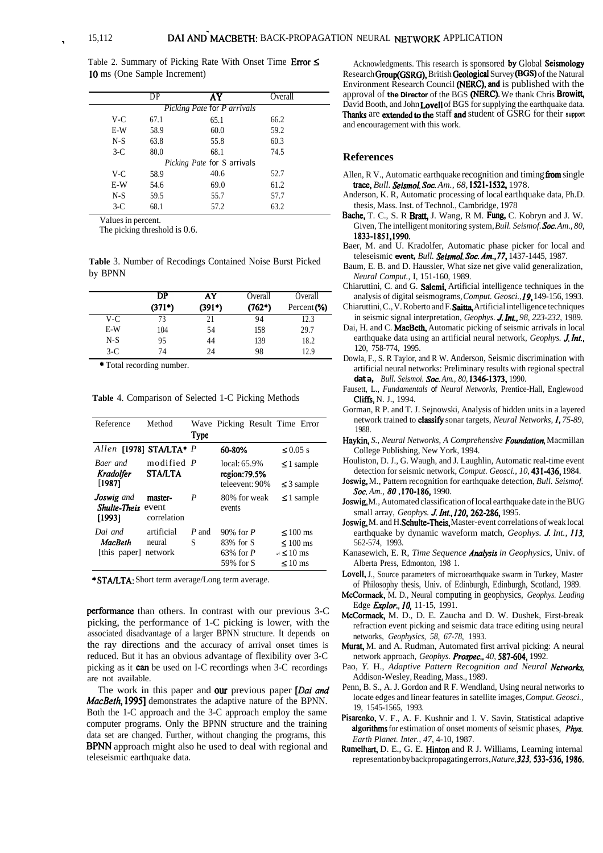Table 2. Summary of Picking Rate With Onset Time Error  $\leq$ 10 ms (One Sample Increment)

|                             | DP   | AY                                 | Overall |  |  |  |  |
|-----------------------------|------|------------------------------------|---------|--|--|--|--|
| Picking Pate for P arrivals |      |                                    |         |  |  |  |  |
| V-C                         | 67.1 | 65.1                               | 66.2    |  |  |  |  |
| E-W                         | 58.9 | 60.0                               | 59.2    |  |  |  |  |
| $N-S$                       | 63.8 | 55.8                               | 60.3    |  |  |  |  |
| $3-C$                       | 80.0 | 68.1                               | 74.5    |  |  |  |  |
|                             |      | <i>Picking Pate for S arrivals</i> |         |  |  |  |  |
| V-C                         | 58.9 | 40.6                               | 52.7    |  |  |  |  |
| E-W                         | 54.6 | 69.0                               | 61.2    |  |  |  |  |
| $N-S$                       | 59.5 | 55.7                               | 57.7    |  |  |  |  |
| $3-C$                       | 68.1 | 57.2                               | 63.2    |  |  |  |  |
|                             |      |                                    |         |  |  |  |  |

Values in percent.

The picking threshold is 0.6.

**Table** 3. Number of Recodings Contained Noise Burst Picked by BPNN

|       | DP<br>$(371*)$ | AY<br>$(391*)$ | Overall<br>$(762*)$ | Overall<br>Percent (%) |
|-------|----------------|----------------|---------------------|------------------------|
| V-C   | 73             | 21             | 94                  | 12.3                   |
| E-W   | 104            | 54             | 158                 | 29.7                   |
| $N-S$ | 95             | 44             | 139                 | 18.2                   |
| $3-C$ | 74             | 24             | 98                  | 12.9                   |

\* Total recording number.

**Table** 4. Comparison of Selected 1-C Picking Methods

| Reference                                         | Method                          |             | Wave Picking Result Time Error                         |                                                                     |
|---------------------------------------------------|---------------------------------|-------------|--------------------------------------------------------|---------------------------------------------------------------------|
|                                                   |                                 | <b>Type</b> |                                                        |                                                                     |
| Allen [1978] STA/LTA* P                           |                                 |             | 60-80%                                                 | $\leq 0.05$ s                                                       |
| Baer and<br>Kradolfer                             | modified P<br><b>STA/LTA</b>    |             | local: 65.9%<br>region:79.5%                           | $\leq$ 1 sample                                                     |
| [1987]                                            |                                 |             | teleevent: 90%                                         | $\leq$ 3 sample                                                     |
| <b>Joswig</b> and<br>Shulte-Theis event<br>[1993] | master-<br>correlation          | P           | 80% for weak<br>events                                 | $\leq$ 1 sample                                                     |
| Dai and<br><b>MacBeth</b><br>[this paper]         | artificial<br>neural<br>network | P and<br>S  | $90\%$ for P<br>83% for S<br>$63\%$ for P<br>59% for S | $\leq 100$ ms<br>$\leq 100$ ms<br>$\lambda$ < 10 ms<br>$\leq 10$ ms |

\* STA/LTA: Short term average/Long term average.

performance than others. In contrast with our previous 3-C picking, the performance of 1-C picking is lower, with the associated disadvantage of a larger BPNN structure. It depends on the ray directions and the accuracy of arrival onset times is reduced. But it has an obvious advantage of flexibility over 3-C picking as it can be used on I-C recordings when 3-C recordings are not available.

The work in this paper and our previous paper  $[Data and$ *MixBeth, 19951* demonstrates the adaptive nature of the BPNN. Both the 1-C approach and the 3-C approach employ the same computer programs. Only the BPNN structure and the training data set are changed. Further, without changing the programs, this BPNN approach might also he used to deal with regional and teleseismic earthquake data.

Acknowledgments. This research is sponsored by Global Seismology Research **Group**(GSRG), British Geological Survey (BGS) of the Natural Environment Research Council (NERC), and is published with the approval of the Director of the BGS (NERC). We thank Chris Browitt, David Booth, and John Lovell of BGS for supplying the earthquake data. Thanks are extended to the staff and student of GSRG for their **support** and encouragement with this work.

## **References**

- Allen, R V., Automatic earthquake recognition and timing from single *trace, Bull. Seismol. Sot. Am., 68,* 1521-1532, 1978. Anderson, K. R, Automatic processing of local earthquake data, Ph.D.
- thesis, Mass. Inst. of Technol., Cambridge, 1978
- Bache, T. C., S. R Bratt, J. Wang, R M. Fung, C. Kobryn and J. W. Given, The intelligent monitoring system, *Bull. Seismof. Sot. Am., 80,* 1833-1851,199O.
- Baer, M. and U. Kradolfer, Automatic phase picker for local and teleseismic **event,** *Bull. Seismol. Sot. Am.,77,* 1437-1445, 1987.
- Baum, E. B. and D. Haussler, What size net give valid generalization, *Neural Comput.,* I, 151-160, 1989.
- Chiaruttini, C. and G. Salemi, Artificial intelligence techniques in the analysis of digital seismograms, *Comput. Geosci., 19,* 149-156, 1993.
- Chiaruttini, C., V. Roberto and F.Saitta, Artificial intelligence techniques in seismic signal interpretation, *Geophys. J Int., 98, 223-232,* 1989.
- Dai, H. and C. MacBeth, Automatic picking of seismic arrivals in local earthquake data using an artificial neural network, *Geophys.* J. Int., 120, 758-774, 1995.
- Dowla, F., S. R Taylor, and R W. Anderson, Seismic discrimination with artificial neural networks: Preliminary results with regional spectral **data,** *Bull. Seismoi. Sot. Am., 80,* 13461373, 1990.
- Fausett, L., *Fundamentals of Neural Networks,* Prentice-Hall, Englewood Cliffs, N. J., 1994.
- Gorman, R P. and T. J. Sejnowski, Analysis of hidden units in a layered network trained to **classify** sonar targets, *Neural Networks*, *I*, 75-89, 1988.
- Haykin, *S., Neural Networks, A Comprehensive Foundation*, Macmillan College Publishing, New York, 1994.
- Houliston, D. J., G. Waugh, and J. Laughlin, Automatic real-time event detection for seismic network, *Comput. Geosci., 10,* 431-436, 1984.
- Joswig, M., Pattern recognition for earthquake detection, *Bull. Seismof. Sot. Am., 80,170-186,* 1990.
- Joswig, M., Automated classification of local earthquake date in the BUG small array, *Geophys. J Int., 120,262-286,* 1995.
- Joswig, M. and H. Schulte-Theis, Master-event correlations of weak local earthquake by dynamic waveform match, *Geophys.* **J.** Int., 113, 562-574, 1993.
- Kanasewich, E. R, *Time Sequence Analysis in Geophysics*, Univ. of Alberta Press, Edmonton, 198 1.
- Lovell, J., Source parameters of microearthquake swarm in Turkey, Master of Philosophy thesis, Univ. of Edinburgh, Edinburgh, Scotland, 1989.
- McConnack, M. D., Neural computing in geophysics, *Geophys. Leading* Edge *E&or., IO,* 11-15, 1991.
- McCormack, M. D., D. E. Zaucha and D. W. Dushek, First-break refraction event picking and seismic data trace editing using neural networks, *Geophysics, 58, 67-78,* 1993.
- Murat, M. and A. Rudman, Automated first arrival picking: A neural network approach, *Geophys. Prospee.., 40, 587-604,* 1992.
- Pao, *Y.* H., *Adaptive Pattern Recognition and Neural Networks,* Addison-Wesley, Reading, Mass., 1989.
- Penn, B. S., A. J. Gordon and R F. Wendland, Using neural networks to locate edges and linear features in satellite images, *Comput. Geosci.,* 19, 1545-1565, 1993.
- Pisarenko, V. F., A. F. Kushnir and I. V. Savin, Statistical adaptive algorithms for estimation of onset moments of seismic phases, *Phys. Earth Planet. Inter., 47,* 4-10, 1987.
- Rumeihart, D. E., G. E. Hinton and R J. Williams, Learning internal representation by backpropagating errors,*Nature, 323,533-536,1986.*